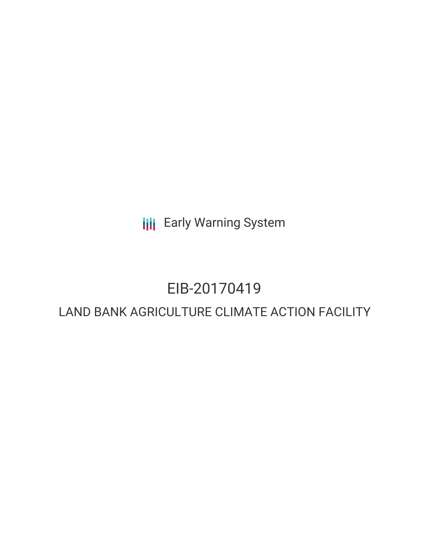**III** Early Warning System

# EIB-20170419

# LAND BANK AGRICULTURE CLIMATE ACTION FACILITY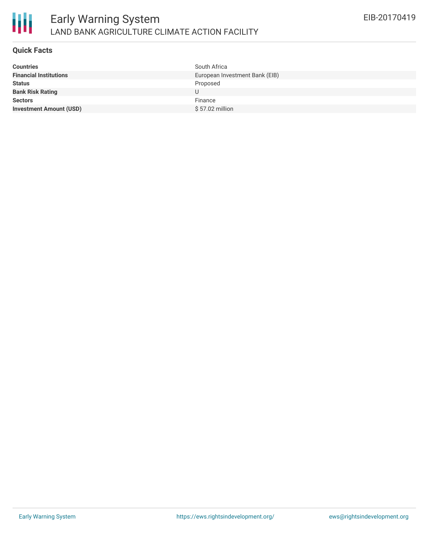

#### **Quick Facts**

| <b>Countries</b>               | South Africa                   |
|--------------------------------|--------------------------------|
| <b>Financial Institutions</b>  | European Investment Bank (EIB) |
| <b>Status</b>                  | Proposed                       |
| <b>Bank Risk Rating</b>        | U                              |
| <b>Sectors</b>                 | Finance                        |
| <b>Investment Amount (USD)</b> | $$57.02$ million               |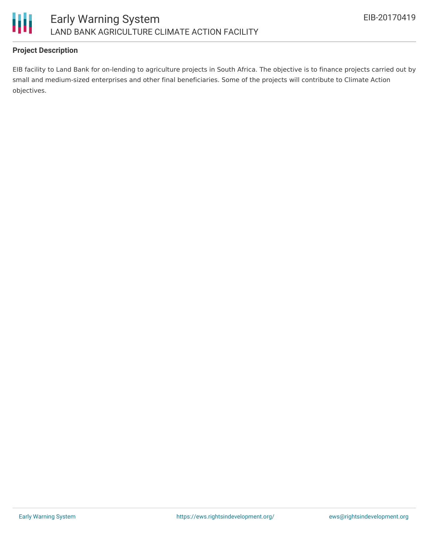

## **Project Description**

EIB facility to Land Bank for on-lending to agriculture projects in South Africa. The objective is to finance projects carried out by small and medium-sized enterprises and other final beneficiaries. Some of the projects will contribute to Climate Action objectives.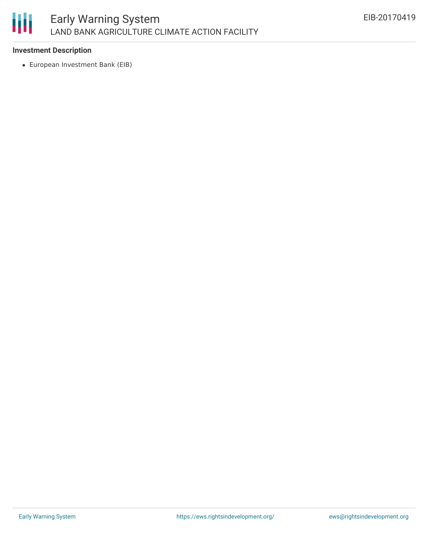

### **Investment Description**

European Investment Bank (EIB)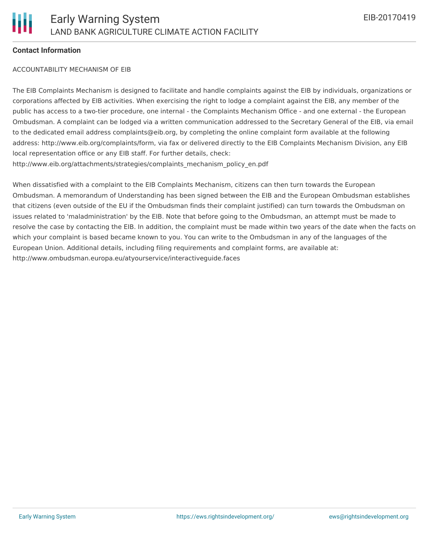### **Contact Information**

#### ACCOUNTABILITY MECHANISM OF EIB

The EIB Complaints Mechanism is designed to facilitate and handle complaints against the EIB by individuals, organizations or corporations affected by EIB activities. When exercising the right to lodge a complaint against the EIB, any member of the public has access to a two-tier procedure, one internal - the Complaints Mechanism Office - and one external - the European Ombudsman. A complaint can be lodged via a written communication addressed to the Secretary General of the EIB, via email to the dedicated email address complaints@eib.org, by completing the online complaint form available at the following address: http://www.eib.org/complaints/form, via fax or delivered directly to the EIB Complaints Mechanism Division, any EIB local representation office or any EIB staff. For further details, check: http://www.eib.org/attachments/strategies/complaints\_mechanism\_policy\_en.pdf

When dissatisfied with a complaint to the EIB Complaints Mechanism, citizens can then turn towards the European Ombudsman. A memorandum of Understanding has been signed between the EIB and the European Ombudsman establishes that citizens (even outside of the EU if the Ombudsman finds their complaint justified) can turn towards the Ombudsman on issues related to 'maladministration' by the EIB. Note that before going to the Ombudsman, an attempt must be made to resolve the case by contacting the EIB. In addition, the complaint must be made within two years of the date when the facts on which your complaint is based became known to you. You can write to the Ombudsman in any of the languages of the European Union. Additional details, including filing requirements and complaint forms, are available at: http://www.ombudsman.europa.eu/atyourservice/interactiveguide.faces